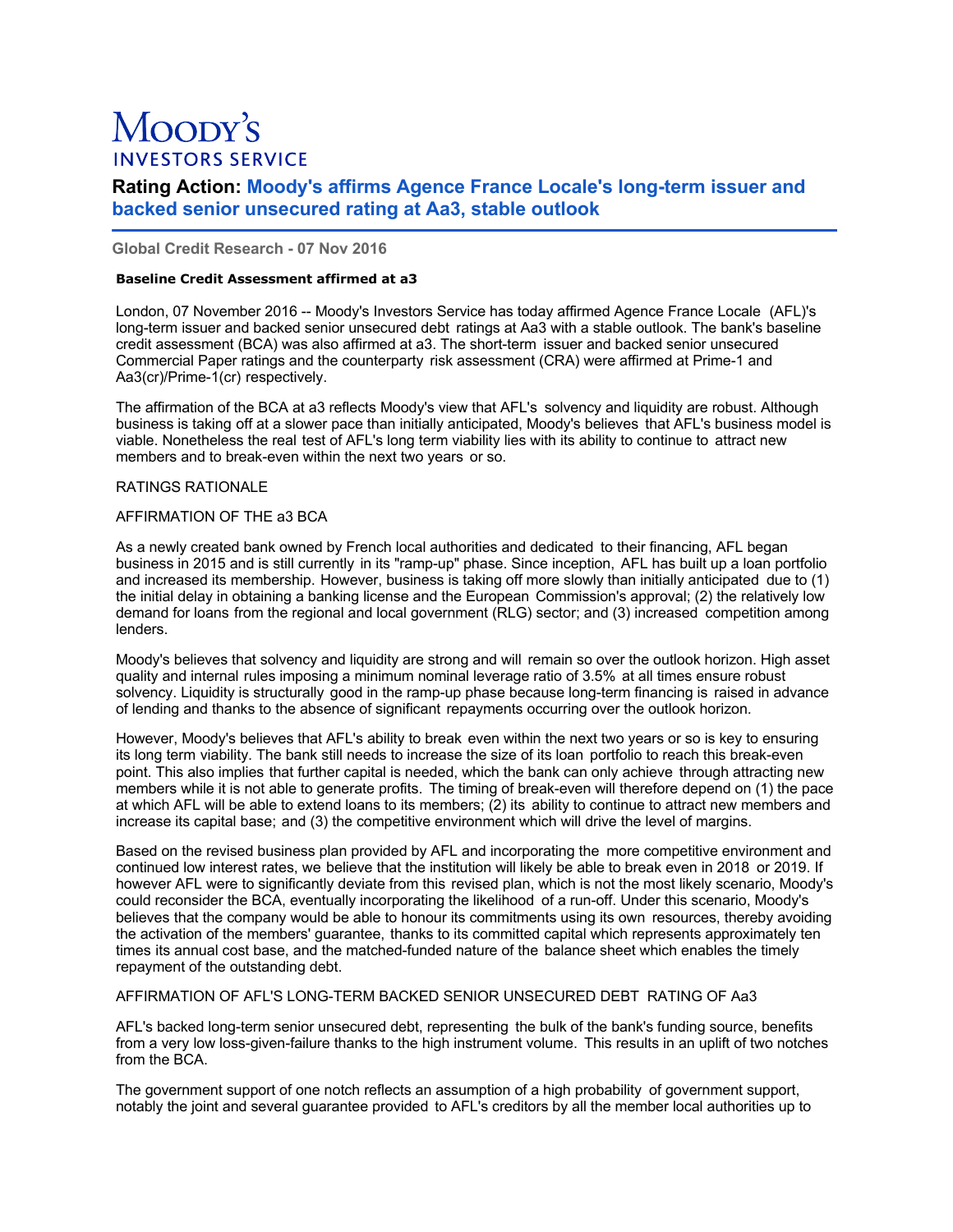# Moopy's **INVESTORS SERVICE**

# **Rating Action: Moody's affirms Agence France Locale's long-term issuer and backed senior unsecured rating at Aa3, stable outlook**

### **Global Credit Research - 07 Nov 2016**

#### **Baseline Credit Assessment affirmed at a3**

London, 07 November 2016 -- Moody's Investors Service has today affirmed Agence France Locale (AFL)'s long-term issuer and backed senior unsecured debt ratings at Aa3 with a stable outlook. The bank's baseline credit assessment (BCA) was also affirmed at a3. The short-term issuer and backed senior unsecured Commercial Paper ratings and the counterparty risk assessment (CRA) were affirmed at Prime-1 and Aa3(cr)/Prime-1(cr) respectively.

The affirmation of the BCA at a3 reflects Moody's view that AFL's solvency and liquidity are robust. Although business is taking off at a slower pace than initially anticipated, Moody's believes that AFL's business model is viable. Nonetheless the real test of AFL's long term viability lies with its ability to continue to attract new members and to break-even within the next two years or so.

#### RATINGS RATIONALE

#### AFFIRMATION OF THE a3 BCA

As a newly created bank owned by French local authorities and dedicated to their financing, AFL began business in 2015 and is still currently in its "ramp-up" phase. Since inception, AFL has built up a loan portfolio and increased its membership. However, business is taking off more slowly than initially anticipated due to (1) the initial delay in obtaining a banking license and the European Commission's approval; (2) the relatively low demand for loans from the regional and local government (RLG) sector; and (3) increased competition among lenders.

Moody's believes that solvency and liquidity are strong and will remain so over the outlook horizon. High asset quality and internal rules imposing a minimum nominal leverage ratio of 3.5% at all times ensure robust solvency. Liquidity is structurally good in the ramp-up phase because long-term financing is raised in advance of lending and thanks to the absence of significant repayments occurring over the outlook horizon.

However, Moody's believes that AFL's ability to break even within the next two years or so is key to ensuring its long term viability. The bank still needs to increase the size of its loan portfolio to reach this break-even point. This also implies that further capital is needed, which the bank can only achieve through attracting new members while it is not able to generate profits. The timing of break-even will therefore depend on (1) the pace at which AFL will be able to extend loans to its members; (2) its ability to continue to attract new members and increase its capital base; and (3) the competitive environment which will drive the level of margins.

Based on the revised business plan provided by AFL and incorporating the more competitive environment and continued low interest rates, we believe that the institution will likely be able to break even in 2018 or 2019. If however AFL were to significantly deviate from this revised plan, which is not the most likely scenario, Moody's could reconsider the BCA, eventually incorporating the likelihood of a run-off. Under this scenario, Moody's believes that the company would be able to honour its commitments using its own resources, thereby avoiding the activation of the members' guarantee, thanks to its committed capital which represents approximately ten times its annual cost base, and the matched-funded nature of the balance sheet which enables the timely repayment of the outstanding debt.

#### AFFIRMATION OF AFL'S LONG-TERM BACKED SENIOR UNSECURED DEBT RATING OF Aa3

AFL's backed long-term senior unsecured debt, representing the bulk of the bank's funding source, benefits from a very low loss-given-failure thanks to the high instrument volume. This results in an uplift of two notches from the BCA.

The government support of one notch reflects an assumption of a high probability of government support, notably the joint and several guarantee provided to AFL's creditors by all the member local authorities up to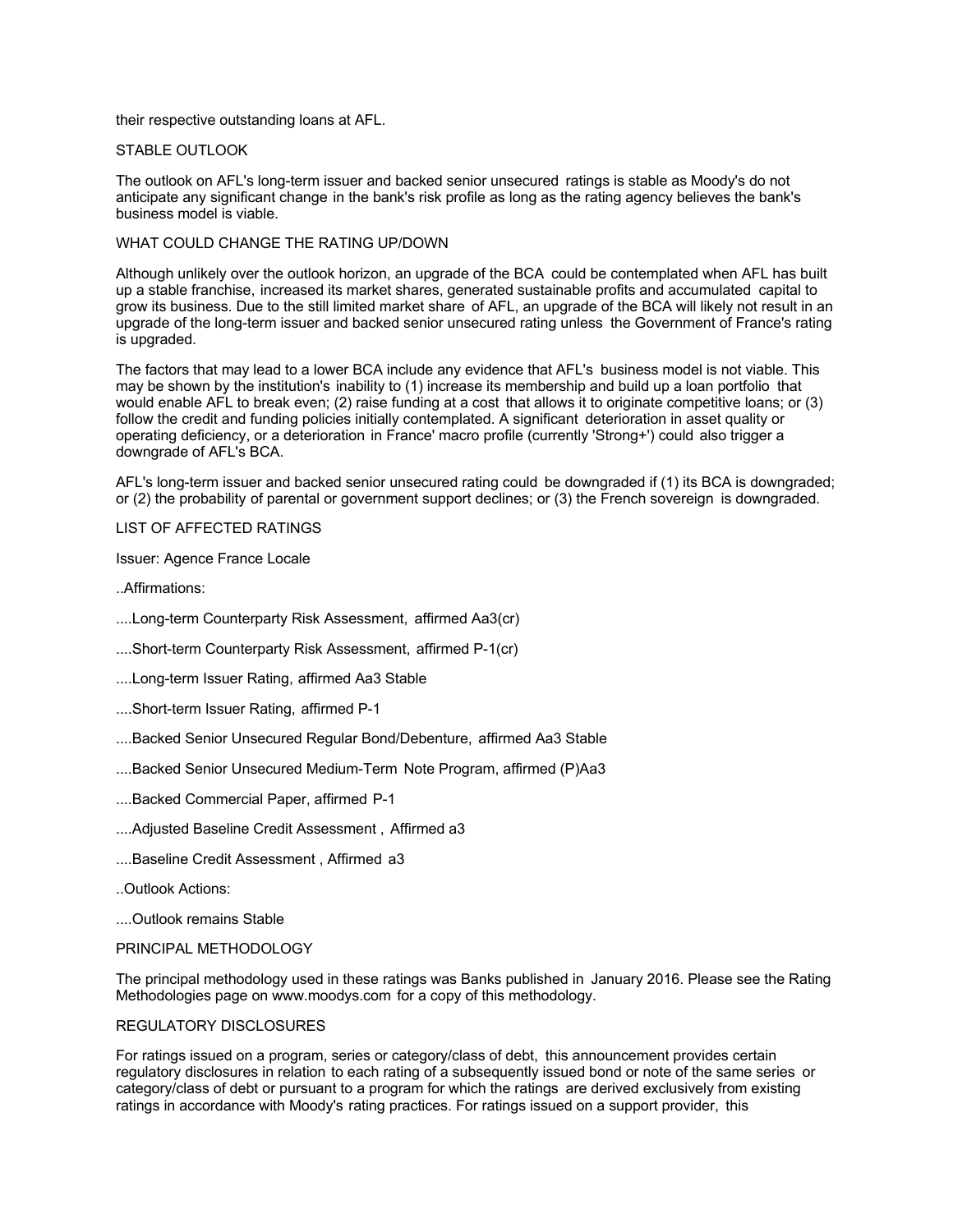their respective outstanding loans at AFL.

#### STABLE OUTLOOK

The outlook on AFL's long-term issuer and backed senior unsecured ratings is stable as Moody's do not anticipate any significant change in the bank's risk profile as long as the rating agency believes the bank's business model is viable.

## WHAT COULD CHANGE THE RATING UP/DOWN

Although unlikely over the outlook horizon, an upgrade of the BCA could be contemplated when AFL has built up a stable franchise, increased its market shares, generated sustainable profits and accumulated capital to grow its business. Due to the still limited market share of AFL, an upgrade of the BCA will likely not result in an upgrade of the long-term issuer and backed senior unsecured rating unless the Government of France's rating is upgraded.

The factors that may lead to a lower BCA include any evidence that AFL's business model is not viable. This may be shown by the institution's inability to (1) increase its membership and build up a loan portfolio that would enable AFL to break even; (2) raise funding at a cost that allows it to originate competitive loans; or (3) follow the credit and funding policies initially contemplated. A significant deterioration in asset quality or operating deficiency, or a deterioration in France' macro profile (currently 'Strong+') could also trigger a downgrade of AFL's BCA.

AFL's long-term issuer and backed senior unsecured rating could be downgraded if (1) its BCA is downgraded; or (2) the probability of parental or government support declines; or (3) the French sovereign is downgraded.

#### LIST OF AFFECTED RATINGS

Issuer: Agence France Locale

- ..Affirmations:
- ....Long-term Counterparty Risk Assessment, affirmed Aa3(cr)
- ....Short-term Counterparty Risk Assessment, affirmed P-1(cr)
- ....Long-term Issuer Rating, affirmed Aa3 Stable
- ....Short-term Issuer Rating, affirmed P-1
- ....Backed Senior Unsecured Regular Bond/Debenture, affirmed Aa3 Stable
- ....Backed Senior Unsecured Medium-Term Note Program, affirmed (P)Aa3
- ....Backed Commercial Paper, affirmed P-1
- ....Adjusted Baseline Credit Assessment , Affirmed a3
- ....Baseline Credit Assessment , Affirmed a3
- ..Outlook Actions:
- ....Outlook remains Stable

#### PRINCIPAL METHODOLOGY

The principal methodology used in these ratings was Banks published in January 2016. Please see the Rating Methodologies page on www.moodys.com for a copy of this methodology.

#### REGULATORY DISCLOSURES

For ratings issued on a program, series or category/class of debt, this announcement provides certain regulatory disclosures in relation to each rating of a subsequently issued bond or note of the same series or category/class of debt or pursuant to a program for which the ratings are derived exclusively from existing ratings in accordance with Moody's rating practices. For ratings issued on a support provider, this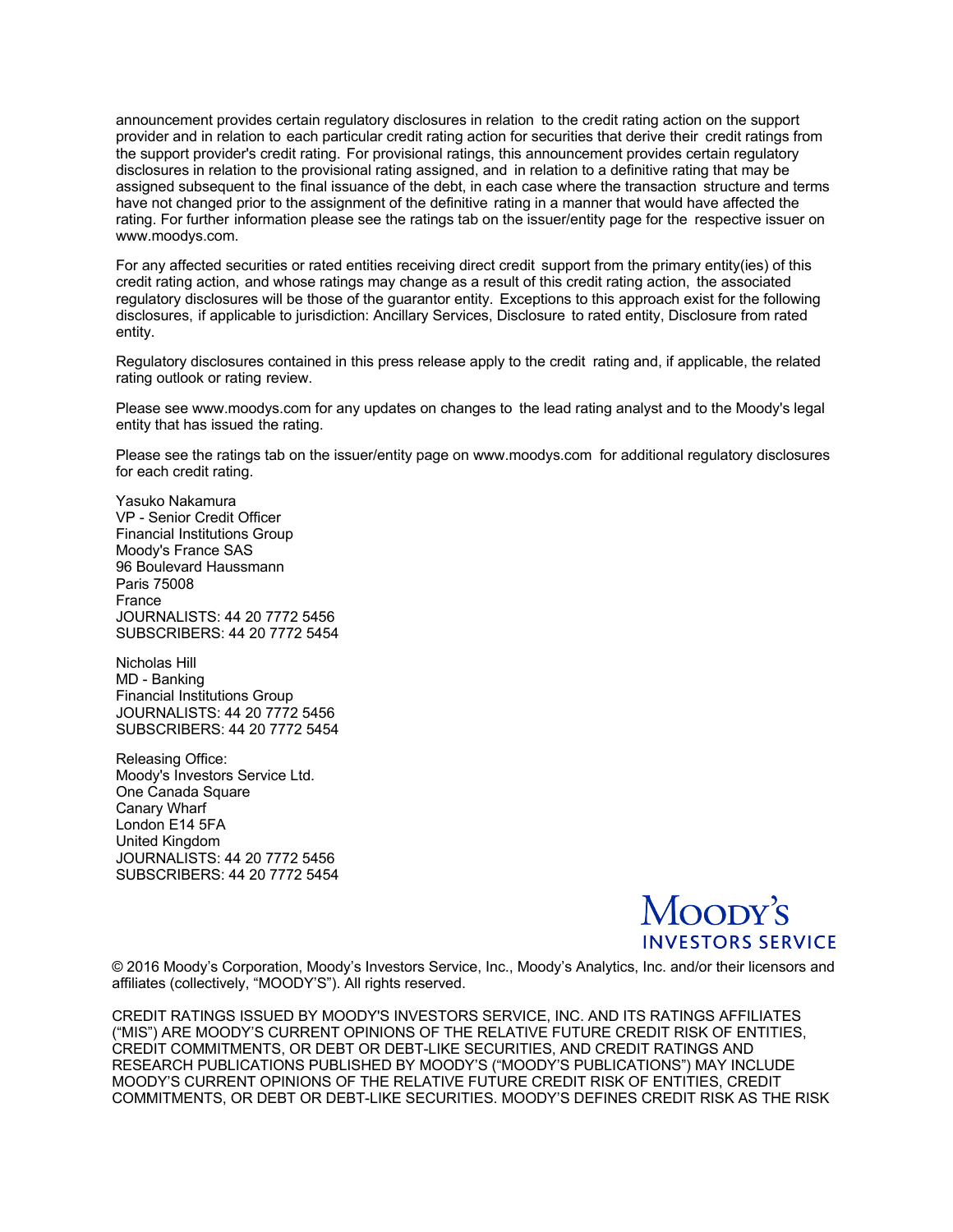announcement provides certain regulatory disclosures in relation to the credit rating action on the support provider and in relation to each particular credit rating action for securities that derive their credit ratings from the support provider's credit rating. For provisional ratings, this announcement provides certain regulatory disclosures in relation to the provisional rating assigned, and in relation to a definitive rating that may be assigned subsequent to the final issuance of the debt, in each case where the transaction structure and terms have not changed prior to the assignment of the definitive rating in a manner that would have affected the rating. For further information please see the ratings tab on the issuer/entity page for the respective issuer on www.moodys.com.

For any affected securities or rated entities receiving direct credit support from the primary entity(ies) of this credit rating action, and whose ratings may change as a result of this credit rating action, the associated regulatory disclosures will be those of the guarantor entity. Exceptions to this approach exist for the following disclosures, if applicable to jurisdiction: Ancillary Services, Disclosure to rated entity, Disclosure from rated entity.

Regulatory disclosures contained in this press release apply to the credit rating and, if applicable, the related rating outlook or rating review.

Please see www.moodys.com for any updates on changes to the lead rating analyst and to the Moody's legal entity that has issued the rating.

Please see the ratings tab on the issuer/entity page on www.moodys.com for additional regulatory disclosures for each credit rating.

Yasuko Nakamura VP - Senior Credit Officer Financial Institutions Group Moody's France SAS 96 Boulevard Haussmann Paris 75008 France JOURNALISTS: 44 20 7772 5456 SUBSCRIBERS: 44 20 7772 5454

Nicholas Hill MD - Banking Financial Institutions Group JOURNALISTS: 44 20 7772 5456 SUBSCRIBERS: 44 20 7772 5454

Releasing Office: Moody's Investors Service Ltd. One Canada Square Canary Wharf London E14 5FA United Kingdom JOURNALISTS: 44 20 7772 5456 SUBSCRIBERS: 44 20 7772 5454



© 2016 Moody's Corporation, Moody's Investors Service, Inc., Moody's Analytics, Inc. and/or their licensors and affiliates (collectively, "MOODY'S"). All rights reserved.

CREDIT RATINGS ISSUED BY MOODY'S INVESTORS SERVICE, INC. AND ITS RATINGS AFFILIATES ("MIS") ARE MOODY'S CURRENT OPINIONS OF THE RELATIVE FUTURE CREDIT RISK OF ENTITIES, CREDIT COMMITMENTS, OR DEBT OR DEBT-LIKE SECURITIES, AND CREDIT RATINGS AND RESEARCH PUBLICATIONS PUBLISHED BY MOODY'S ("MOODY'S PUBLICATIONS") MAY INCLUDE MOODY'S CURRENT OPINIONS OF THE RELATIVE FUTURE CREDIT RISK OF ENTITIES, CREDIT COMMITMENTS, OR DEBT OR DEBT-LIKE SECURITIES. MOODY'S DEFINES CREDIT RISK AS THE RISK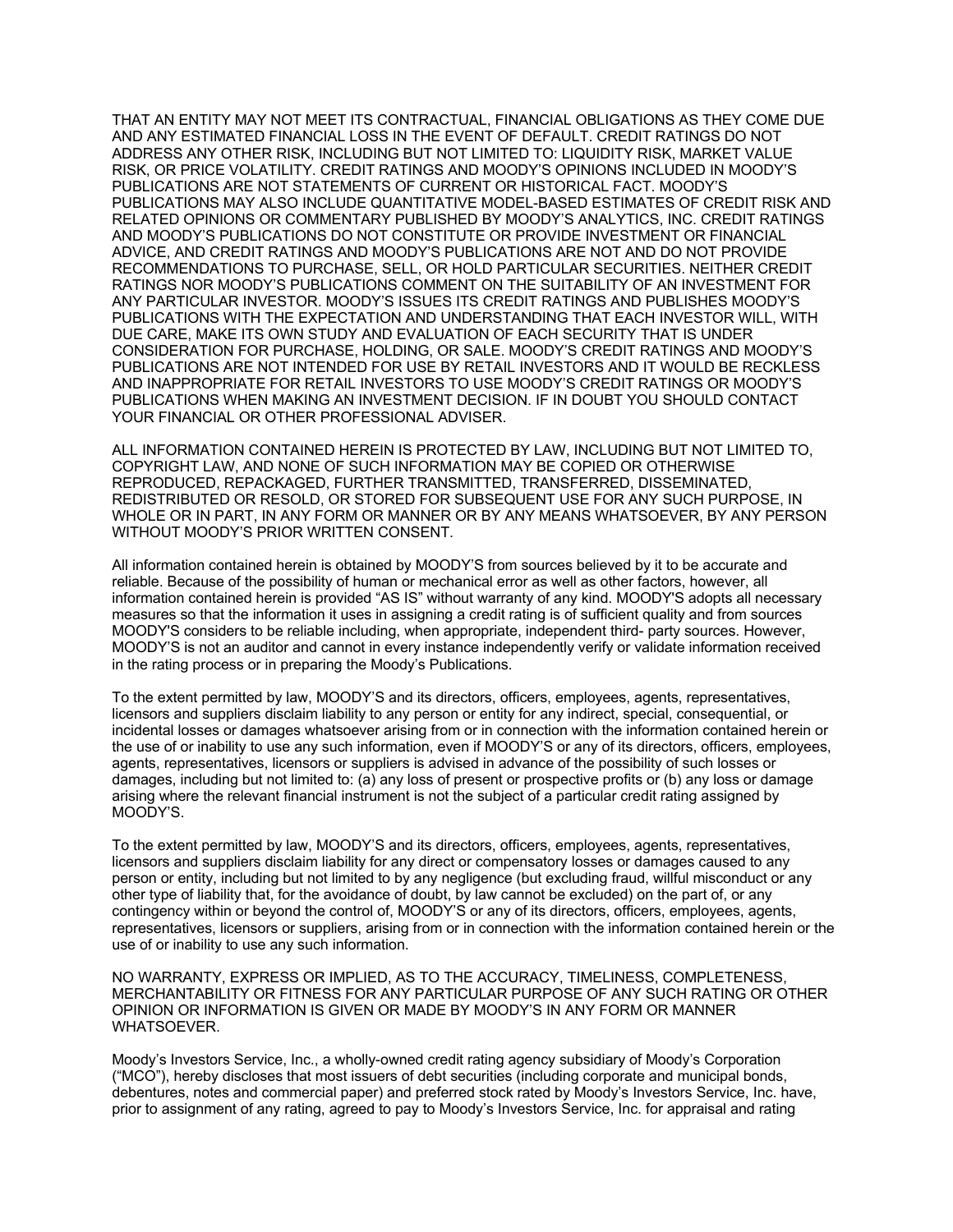THAT AN ENTITY MAY NOT MEET ITS CONTRACTUAL, FINANCIAL OBLIGATIONS AS THEY COME DUE AND ANY ESTIMATED FINANCIAL LOSS IN THE EVENT OF DEFAULT. CREDIT RATINGS DO NOT ADDRESS ANY OTHER RISK, INCLUDING BUT NOT LIMITED TO: LIQUIDITY RISK, MARKET VALUE RISK, OR PRICE VOLATILITY. CREDIT RATINGS AND MOODY'S OPINIONS INCLUDED IN MOODY'S PUBLICATIONS ARE NOT STATEMENTS OF CURRENT OR HISTORICAL FACT. MOODY'S PUBLICATIONS MAY ALSO INCLUDE QUANTITATIVE MODEL-BASED ESTIMATES OF CREDIT RISK AND RELATED OPINIONS OR COMMENTARY PUBLISHED BY MOODY'S ANALYTICS, INC. CREDIT RATINGS AND MOODY'S PUBLICATIONS DO NOT CONSTITUTE OR PROVIDE INVESTMENT OR FINANCIAL ADVICE, AND CREDIT RATINGS AND MOODY'S PUBLICATIONS ARE NOT AND DO NOT PROVIDE RECOMMENDATIONS TO PURCHASE, SELL, OR HOLD PARTICULAR SECURITIES. NEITHER CREDIT RATINGS NOR MOODY'S PUBLICATIONS COMMENT ON THE SUITABILITY OF AN INVESTMENT FOR ANY PARTICULAR INVESTOR. MOODY'S ISSUES ITS CREDIT RATINGS AND PUBLISHES MOODY'S PUBLICATIONS WITH THE EXPECTATION AND UNDERSTANDING THAT EACH INVESTOR WILL, WITH DUE CARE, MAKE ITS OWN STUDY AND EVALUATION OF EACH SECURITY THAT IS UNDER CONSIDERATION FOR PURCHASE, HOLDING, OR SALE. MOODY'S CREDIT RATINGS AND MOODY'S PUBLICATIONS ARE NOT INTENDED FOR USE BY RETAIL INVESTORS AND IT WOULD BE RECKLESS AND INAPPROPRIATE FOR RETAIL INVESTORS TO USE MOODY'S CREDIT RATINGS OR MOODY'S PUBLICATIONS WHEN MAKING AN INVESTMENT DECISION. IF IN DOUBT YOU SHOULD CONTACT YOUR FINANCIAL OR OTHER PROFESSIONAL ADVISER.

ALL INFORMATION CONTAINED HEREIN IS PROTECTED BY LAW, INCLUDING BUT NOT LIMITED TO, COPYRIGHT LAW, AND NONE OF SUCH INFORMATION MAY BE COPIED OR OTHERWISE REPRODUCED, REPACKAGED, FURTHER TRANSMITTED, TRANSFERRED, DISSEMINATED, REDISTRIBUTED OR RESOLD, OR STORED FOR SUBSEQUENT USE FOR ANY SUCH PURPOSE, IN WHOLE OR IN PART, IN ANY FORM OR MANNER OR BY ANY MEANS WHATSOEVER, BY ANY PERSON WITHOUT MOODY'S PRIOR WRITTEN CONSENT.

All information contained herein is obtained by MOODY'S from sources believed by it to be accurate and reliable. Because of the possibility of human or mechanical error as well as other factors, however, all information contained herein is provided "AS IS" without warranty of any kind. MOODY'S adopts all necessary measures so that the information it uses in assigning a credit rating is of sufficient quality and from sources MOODY'S considers to be reliable including, when appropriate, independent third- party sources. However, MOODY'S is not an auditor and cannot in every instance independently verify or validate information received in the rating process or in preparing the Moody's Publications.

To the extent permitted by law, MOODY'S and its directors, officers, employees, agents, representatives, licensors and suppliers disclaim liability to any person or entity for any indirect, special, consequential, or incidental losses or damages whatsoever arising from or in connection with the information contained herein or the use of or inability to use any such information, even if MOODY'S or any of its directors, officers, employees, agents, representatives, licensors or suppliers is advised in advance of the possibility of such losses or damages, including but not limited to: (a) any loss of present or prospective profits or (b) any loss or damage arising where the relevant financial instrument is not the subject of a particular credit rating assigned by MOODY'S.

To the extent permitted by law, MOODY'S and its directors, officers, employees, agents, representatives, licensors and suppliers disclaim liability for any direct or compensatory losses or damages caused to any person or entity, including but not limited to by any negligence (but excluding fraud, willful misconduct or any other type of liability that, for the avoidance of doubt, by law cannot be excluded) on the part of, or any contingency within or beyond the control of, MOODY'S or any of its directors, officers, employees, agents, representatives, licensors or suppliers, arising from or in connection with the information contained herein or the use of or inability to use any such information.

NO WARRANTY, EXPRESS OR IMPLIED, AS TO THE ACCURACY, TIMELINESS, COMPLETENESS, MERCHANTABILITY OR FITNESS FOR ANY PARTICULAR PURPOSE OF ANY SUCH RATING OR OTHER OPINION OR INFORMATION IS GIVEN OR MADE BY MOODY'S IN ANY FORM OR MANNER WHATSOEVER.

Moody's Investors Service, Inc., a wholly-owned credit rating agency subsidiary of Moody's Corporation ("MCO"), hereby discloses that most issuers of debt securities (including corporate and municipal bonds, debentures, notes and commercial paper) and preferred stock rated by Moody's Investors Service, Inc. have, prior to assignment of any rating, agreed to pay to Moody's Investors Service, Inc. for appraisal and rating